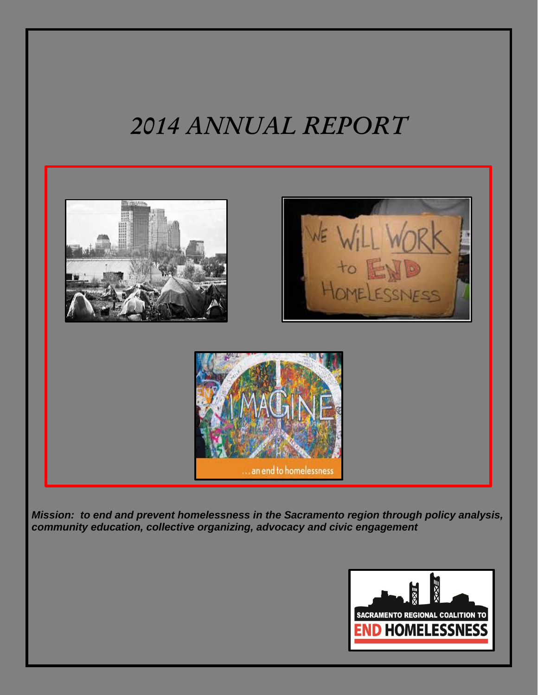# *2014 ANNUAL REPORT*



*Mission:**to end and prevent homelessness in the Sacramento region through policy analysis, community education, collective organizing, advocacy and civic engagement*

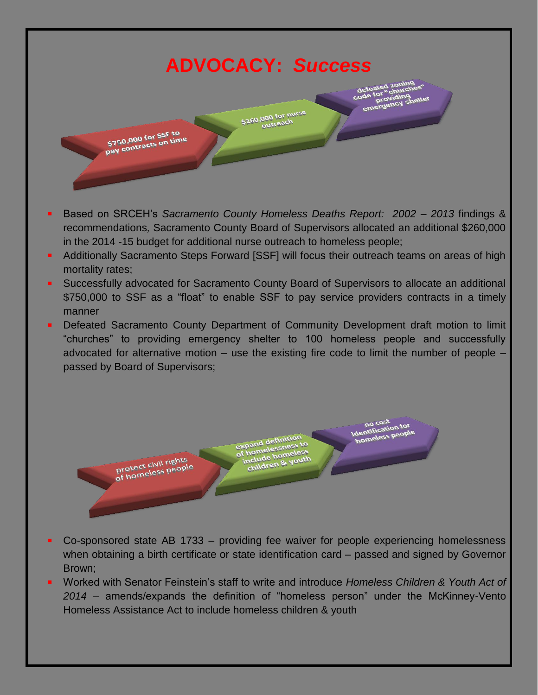

- Based on SRCEH's *Sacramento County Homeless Deaths Report: 2002 – 2013* findings & recommendations*,* Sacramento County Board of Supervisors allocated an additional \$260,000 in the 2014 -15 budget for additional nurse outreach to homeless people;
- Additionally Sacramento Steps Forward [SSF] will focus their outreach teams on areas of high mortality rates;
- Successfully advocated for Sacramento County Board of Supervisors to allocate an additional \$750,000 to SSF as a "float" to enable SSF to pay service providers contracts in a timely manner
- Defeated Sacramento County Department of Community Development draft motion to limit "churches" to providing emergency shelter to 100 homeless people and successfully advocated for alternative motion – use the existing fire code to limit the number of people – passed by Board of Supervisors;



- Co-sponsored state AB 1733 providing fee waiver for people experiencing homelessness when obtaining a birth certificate or state identification card – passed and signed by Governor Brown;
- Worked with Senator Feinstein's staff to write and introduce *Homeless Children & Youth Act of 2014* – amends/expands the definition of "homeless person" under the McKinney-Vento Homeless Assistance Act to include homeless children & youth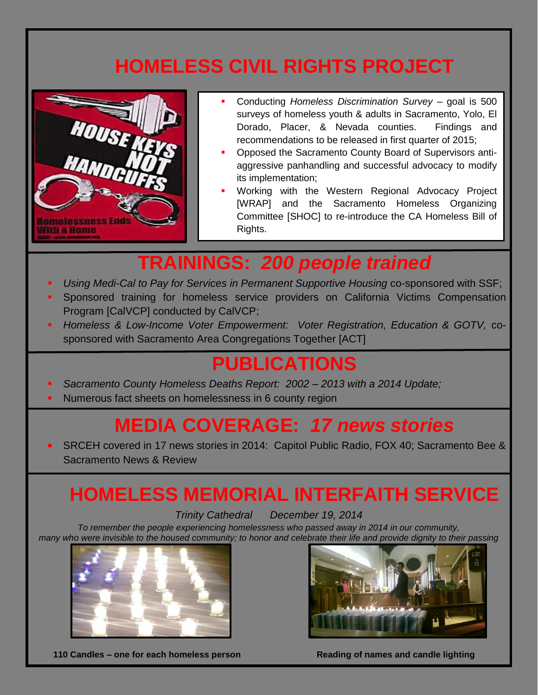# **HOMELESS CIVIL RIGHTS PROJECT**



- Conducting *Homeless Discrimination Survey –* goal is 500 surveys of homeless youth & adults in Sacramento, Yolo, El Dorado, Placer, & Nevada counties. Findings and recommendations to be released in first quarter of 2015;
- Opposed the Sacramento County Board of Supervisors antiaggressive panhandling and successful advocacy to modify its implementation;
- Working with the Western Regional Advocacy Project [WRAP] and the Sacramento Homeless Organizing Committee [SHOC] to re-introduce the CA Homeless Bill of Rights.

### **TRAININGS:** *200 people trained*

- *Using Medi-Cal to Pay for Services in Permanent Supportive Housing co-sponsored with SSF;*
- **Sponsored training for homeless service providers on California Victims Compensation** Program [CalVCP] conducted by CalVCP;
- *Homeless & Low-Income Voter Empowerment: Voter Registration, Education & GOTV,* cosponsored with Sacramento Area Congregations Together [ACT]

## **PUBLICATIONS**

- *Sacramento County Homeless Deaths Report: 2002 – 2013 with a 2014 Update;*
- Numerous fact sheets on homelessness in 6 county region

# **MEDIA COVERAGE:** *17 news stories*

 SRCEH covered in 17 news stories in 2014: Capitol Public Radio, FOX 40; Sacramento Bee & Sacramento News & Review

#### **HOMELESS MEMORIAL INTERFAITH SERVICE**

*Trinity Cathedral December 19, 2014*

*To remember the people experiencing homelessness who passed away in 2014 in our community, many who were invisible to the housed community; to honor and celebrate their life and provide dignity to their passing*





**110 Candles – one for each homeless person Reading of names and candle lighting**